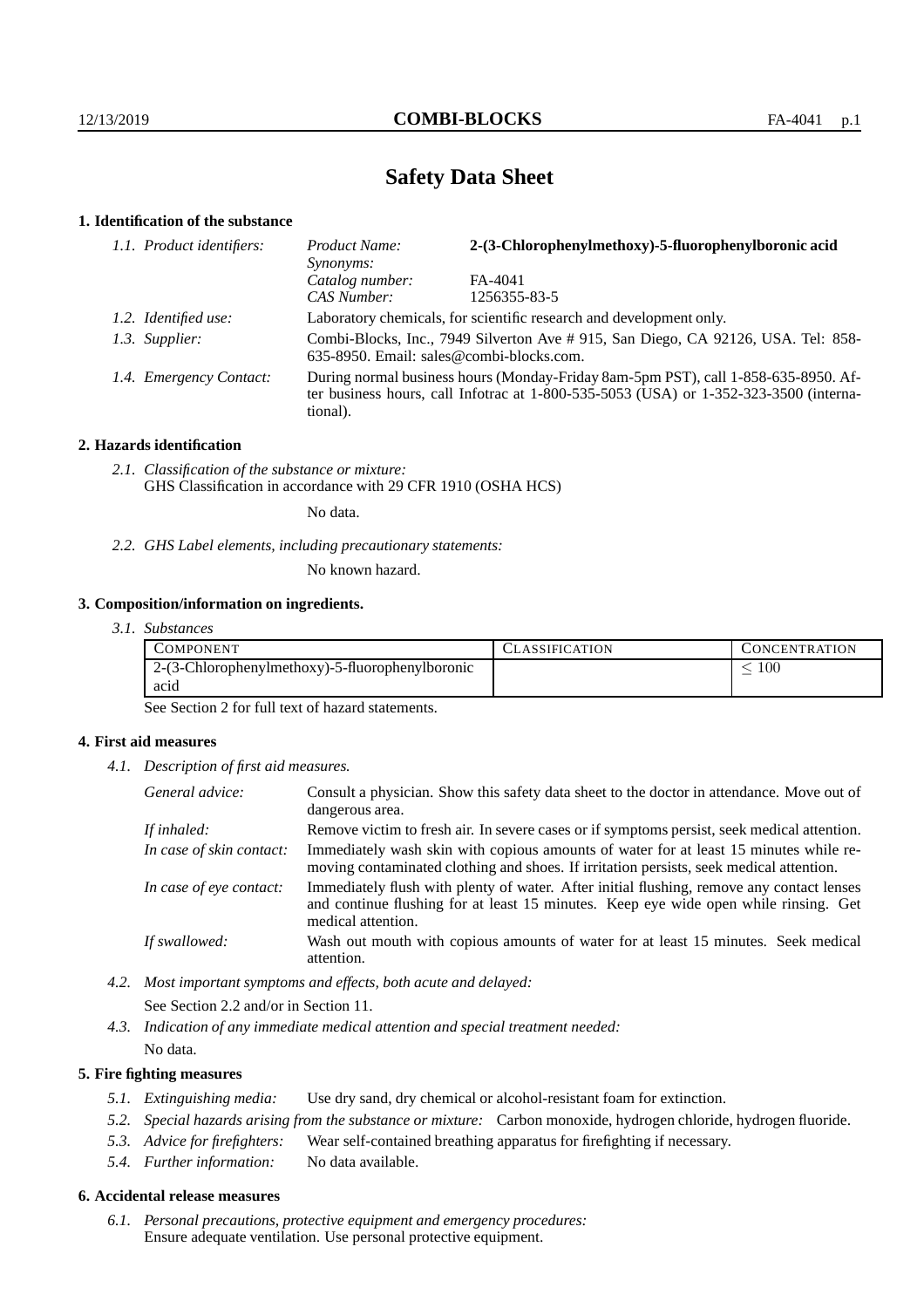# **Safety Data Sheet**

# **1. Identification of the substance**

| 1.1. Product identifiers: | 2-(3-Chlorophenylmethoxy)-5-fluorophenylboronic acid<br>Product Name:<br><i>Synonyms:</i>                                                                                               |              |
|---------------------------|-----------------------------------------------------------------------------------------------------------------------------------------------------------------------------------------|--------------|
|                           | Catalog number:                                                                                                                                                                         | FA-4041      |
|                           | CAS Number:                                                                                                                                                                             | 1256355-83-5 |
| 1.2. Identified use:      | Laboratory chemicals, for scientific research and development only.                                                                                                                     |              |
| 1.3. Supplier:            | Combi-Blocks, Inc., 7949 Silverton Ave # 915, San Diego, CA 92126, USA. Tel: 858-<br>635-8950. Email: sales@combi-blocks.com.                                                           |              |
| 1.4. Emergency Contact:   | During normal business hours (Monday-Friday 8am-5pm PST), call 1-858-635-8950. Af-<br>ter business hours, call Infotrac at 1-800-535-5053 (USA) or 1-352-323-3500 (interna-<br>tional). |              |

#### **2. Hazards identification**

*2.1. Classification of the substance or mixture:* GHS Classification in accordance with 29 CFR 1910 (OSHA HCS)

No data.

*2.2. GHS Label elements, including precautionary statements:*

No known hazard.

### **3. Composition/information on ingredients.**

| COMPONENT                                       | <b>ASSIFICATION</b> | CONCENTRATION. |
|-------------------------------------------------|---------------------|----------------|
| 2-(3-Chlorophenylmethoxy)-5-fluorophenylboronic |                     | -00            |
| acid                                            |                     |                |

See Section 2 for full text of hazard statements.

#### **4. First aid measures**

*4.1. Description of first aid measures.*

| General advice:          | Consult a physician. Show this safety data sheet to the doctor in attendance. Move out of<br>dangerous area.                                                                                            |
|--------------------------|---------------------------------------------------------------------------------------------------------------------------------------------------------------------------------------------------------|
| If inhaled:              | Remove victim to fresh air. In severe cases or if symptoms persist, seek medical attention.                                                                                                             |
| In case of skin contact: | Immediately wash skin with copious amounts of water for at least 15 minutes while re-<br>moving contaminated clothing and shoes. If irritation persists, seek medical attention.                        |
| In case of eye contact:  | Immediately flush with plenty of water. After initial flushing, remove any contact lenses<br>and continue flushing for at least 15 minutes. Keep eye wide open while rinsing. Get<br>medical attention. |
| If swallowed:            | Wash out mouth with copious amounts of water for at least 15 minutes. Seek medical<br>attention.                                                                                                        |

*4.2. Most important symptoms and effects, both acute and delayed:*

See Section 2.2 and/or in Section 11.

*4.3. Indication of any immediate medical attention and special treatment needed:*

No data.

### **5. Fire fighting measures**

- *5.1. Extinguishing media:* Use dry sand, dry chemical or alcohol-resistant foam for extinction.
- *5.2. Special hazards arising from the substance or mixture:* Carbon monoxide, hydrogen chloride, hydrogen fluoride.
- *5.3. Advice for firefighters:* Wear self-contained breathing apparatus for firefighting if necessary.
- *5.4. Further information:* No data available.

#### **6. Accidental release measures**

*6.1. Personal precautions, protective equipment and emergency procedures:* Ensure adequate ventilation. Use personal protective equipment.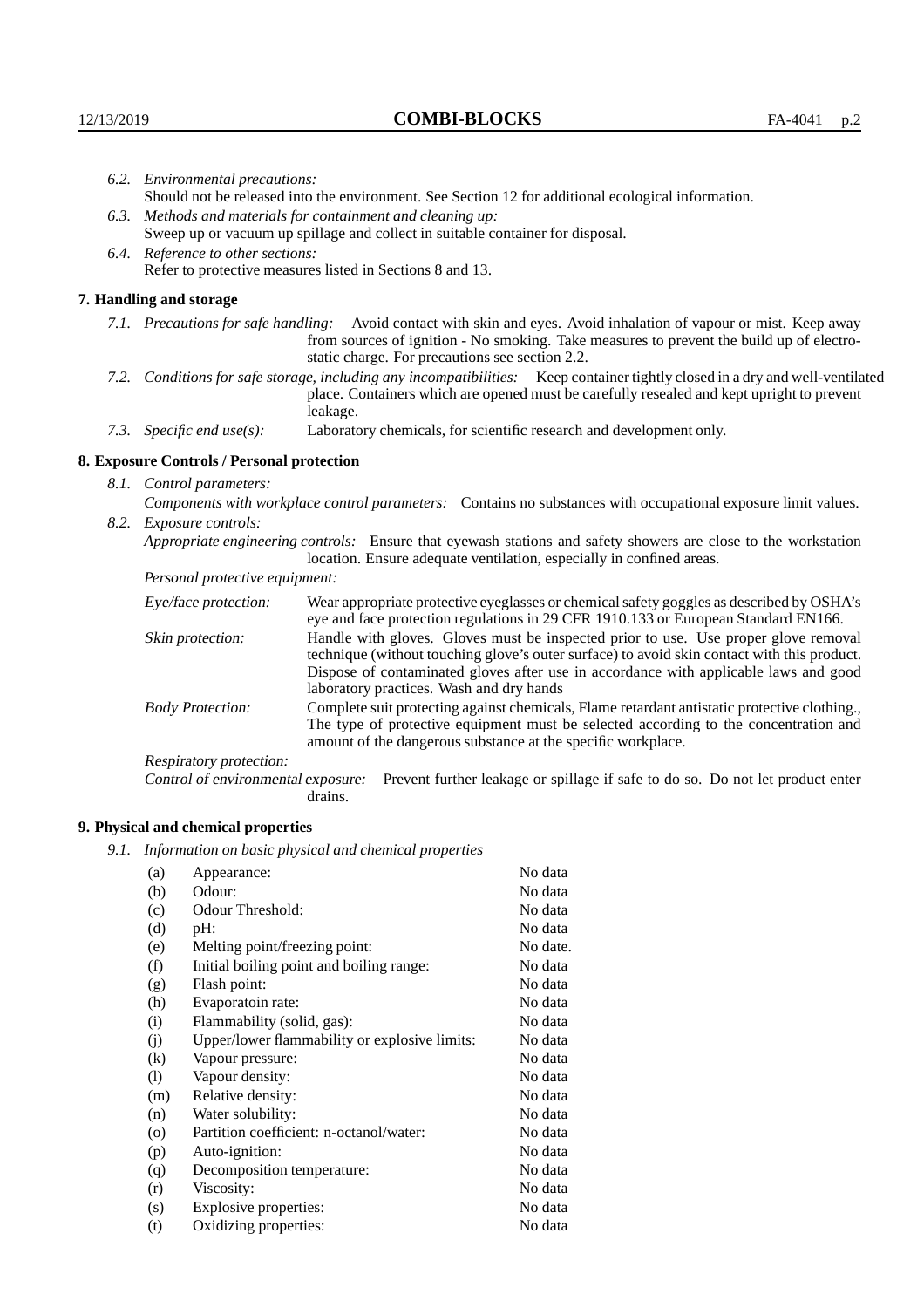| 6.2. Environmental precautions:            |                                                                                                                                                                                                                                                                                                                        |  |  |
|--------------------------------------------|------------------------------------------------------------------------------------------------------------------------------------------------------------------------------------------------------------------------------------------------------------------------------------------------------------------------|--|--|
|                                            | Should not be released into the environment. See Section 12 for additional ecological information.                                                                                                                                                                                                                     |  |  |
|                                            | 6.3. Methods and materials for containment and cleaning up:                                                                                                                                                                                                                                                            |  |  |
|                                            | Sweep up or vacuum up spillage and collect in suitable container for disposal.                                                                                                                                                                                                                                         |  |  |
| 6.4. Reference to other sections:          |                                                                                                                                                                                                                                                                                                                        |  |  |
|                                            | Refer to protective measures listed in Sections 8 and 13.                                                                                                                                                                                                                                                              |  |  |
| 7. Handling and storage                    |                                                                                                                                                                                                                                                                                                                        |  |  |
|                                            | 7.1. Precautions for safe handling: Avoid contact with skin and eyes. Avoid inhalation of vapour or mist. Keep away<br>from sources of ignition - No smoking. Take measures to prevent the build up of electro-<br>static charge. For precautions see section 2.2.                                                     |  |  |
|                                            | 7.2. Conditions for safe storage, including any incompatibilities: Keep container tightly closed in a dry and well-ventilated<br>place. Containers which are opened must be carefully resealed and kept upright to prevent<br>leakage.                                                                                 |  |  |
| 7.3. Specific end use(s):                  | Laboratory chemicals, for scientific research and development only.                                                                                                                                                                                                                                                    |  |  |
| 8. Exposure Controls / Personal protection |                                                                                                                                                                                                                                                                                                                        |  |  |
| 8.1. Control parameters:                   |                                                                                                                                                                                                                                                                                                                        |  |  |
|                                            | Components with workplace control parameters: Contains no substances with occupational exposure limit values.                                                                                                                                                                                                          |  |  |
| 8.2. Exposure controls:                    |                                                                                                                                                                                                                                                                                                                        |  |  |
|                                            | Appropriate engineering controls: Ensure that eyewash stations and safety showers are close to the workstation<br>location. Ensure adequate ventilation, especially in confined areas.                                                                                                                                 |  |  |
| Personal protective equipment:             |                                                                                                                                                                                                                                                                                                                        |  |  |
| Eye/face protection:                       | Wear appropriate protective eyeglasses or chemical safety goggles as described by OSHA's<br>eye and face protection regulations in 29 CFR 1910.133 or European Standard EN166.                                                                                                                                         |  |  |
| Skin protection:                           | Handle with gloves. Gloves must be inspected prior to use. Use proper glove removal<br>technique (without touching glove's outer surface) to avoid skin contact with this product.<br>Dispose of contaminated gloves after use in accordance with applicable laws and good<br>laboratory practices. Wash and dry hands |  |  |
| <b>Body Protection:</b>                    | Complete suit protecting against chemicals, Flame retardant antistatic protective clothing.,<br>The type of protective equipment must be selected according to the concentration and<br>amount of the dangerous substance at the specific workplace.                                                                   |  |  |
| Respiratory protection:                    |                                                                                                                                                                                                                                                                                                                        |  |  |

Control of environmental exposure: Prevent further leakage or spillage if safe to do so. Do not let product enter drains.

# **9. Physical and chemical properties**

*9.1. Information on basic physical and chemical properties*

| (a)      | Appearance:                                   | No data  |
|----------|-----------------------------------------------|----------|
| (b)      | Odour:                                        | No data  |
| (c)      | Odour Threshold:                              | No data  |
| (d)      | pH:                                           | No data  |
| (e)      | Melting point/freezing point:                 | No date. |
| (f)      | Initial boiling point and boiling range:      | No data  |
| (g)      | Flash point:                                  | No data  |
| (h)      | Evaporatoin rate:                             | No data  |
| (i)      | Flammability (solid, gas):                    | No data  |
| (i)      | Upper/lower flammability or explosive limits: | No data  |
| $\rm(k)$ | Vapour pressure:                              | No data  |
| (1)      | Vapour density:                               | No data  |
| (m)      | Relative density:                             | No data  |
| (n)      | Water solubility:                             | No data  |
| (0)      | Partition coefficient: n-octanol/water:       | No data  |
| (p)      | Auto-ignition:                                | No data  |
| (q)      | Decomposition temperature:                    | No data  |
| (r)      | Viscosity:                                    | No data  |
| (s)      | Explosive properties:                         | No data  |
| (t)      | Oxidizing properties:                         | No data  |